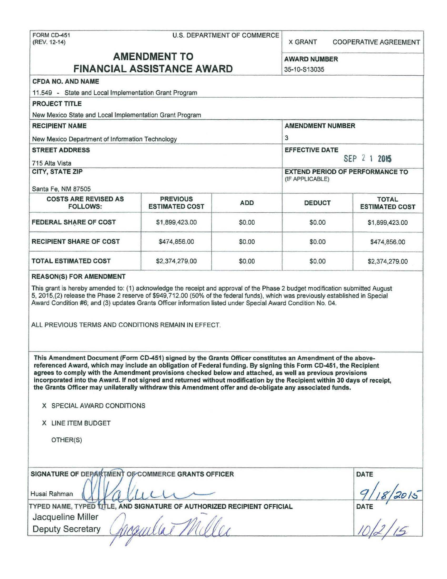| FORM CD-451  |  |
|--------------|--|
| (REV. 12-14) |  |

## U.S. DEPARTMENT OF COMMERCE

X GRANT COOPERATIVE AGREEMENT

# AMENDMENT TO AWARD NUMBER FINANCIAL ASSISTANCE AWARD 35-10-S13035

| <b>CFDA NO. AND NAME</b>                                                                                                                                                                                                                                                                                                                         |                                          |        |                                                           |                                       |  |
|--------------------------------------------------------------------------------------------------------------------------------------------------------------------------------------------------------------------------------------------------------------------------------------------------------------------------------------------------|------------------------------------------|--------|-----------------------------------------------------------|---------------------------------------|--|
| 11.549 - State and Local Implementation Grant Program                                                                                                                                                                                                                                                                                            |                                          |        |                                                           |                                       |  |
| <b>PROJECT TITLE</b>                                                                                                                                                                                                                                                                                                                             |                                          |        |                                                           |                                       |  |
| New Mexico State and Local Implementation Grant Program                                                                                                                                                                                                                                                                                          |                                          |        |                                                           |                                       |  |
| <b>RECIPIENT NAME</b>                                                                                                                                                                                                                                                                                                                            |                                          |        | <b>AMENDMENT NUMBER</b>                                   |                                       |  |
| New Mexico Department of Information Technology                                                                                                                                                                                                                                                                                                  |                                          |        | 3                                                         |                                       |  |
| <b>STREET ADDRESS</b><br>715 Alta Vista                                                                                                                                                                                                                                                                                                          |                                          |        | <b>EFFECTIVE DATE</b><br>SEP 2 1 2015                     |                                       |  |
| <b>CITY, STATE ZIP</b>                                                                                                                                                                                                                                                                                                                           |                                          |        | <b>EXTEND PERIOD OF PERFORMANCE TO</b><br>(IF APPLICABLE) |                                       |  |
| Santa Fe, NM 87505<br><b>COSTS ARE REVISED AS</b><br><b>FOLLOWS:</b>                                                                                                                                                                                                                                                                             | <b>PREVIOUS</b><br><b>ESTIMATED COST</b> | ADD    | <b>DEDUCT</b>                                             | <b>TOTAL</b><br><b>ESTIMATED COST</b> |  |
| FEDERAL SHARE OF COST                                                                                                                                                                                                                                                                                                                            | \$1,899,423.00                           | \$0.00 | \$0.00                                                    | \$1,899,423.00                        |  |
| <b>RECIPIENT SHARE OF COST</b>                                                                                                                                                                                                                                                                                                                   | \$474,856.00                             | \$0.00 | \$0.00                                                    | \$474,856.00                          |  |
| <b>TOTAL ESTIMATED COST</b>                                                                                                                                                                                                                                                                                                                      | \$2,374,279.00                           | \$0.00 | \$0.00                                                    | \$2,374,279.00                        |  |
| ALL PREVIOUS TERMS AND CONDITIONS REMAIN IN EFFECT.<br>This Amendment Document (Form CD-451) signed by the Grants Officer constitutes an Amendment of the above-<br>referenced Award, which may include an obligation of Federal funding. By signing this Form CD-451, the Recipient                                                             |                                          |        |                                                           |                                       |  |
| agrees to comply with the Amendment provisions checked below and attached, as well as previous provisions<br>incorporated into the Award. If not signed and returned without modification by the Recipient within 30 days of receipt,<br>the Grants Officer may unilaterally withdraw this Amendment offer and de-obligate any associated funds. |                                          |        |                                                           |                                       |  |
| X SPECIAL AWARD CONDITIONS                                                                                                                                                                                                                                                                                                                       |                                          |        |                                                           |                                       |  |
| X LINE ITEM BUDGET                                                                                                                                                                                                                                                                                                                               |                                          |        |                                                           |                                       |  |
| OTHER(S)                                                                                                                                                                                                                                                                                                                                         |                                          |        |                                                           |                                       |  |
| SIGNATURE OF DEPARTMENT OF COMMERCE GRANTS OFFICER                                                                                                                                                                                                                                                                                               |                                          |        |                                                           | <b>DATE</b>                           |  |
| Husai Rahman                                                                                                                                                                                                                                                                                                                                     |                                          |        |                                                           |                                       |  |
| TYPED NAME, TYPED TITLE, AND SIGNATURE OF AUTHORIZED RECIPIENT OFFICIAL                                                                                                                                                                                                                                                                          |                                          |        |                                                           |                                       |  |
| Jacqueline Miller<br><b>Deputy Secretary</b>                                                                                                                                                                                                                                                                                                     |                                          |        |                                                           | $\frac{7}{16}$                        |  |
|                                                                                                                                                                                                                                                                                                                                                  |                                          |        |                                                           |                                       |  |
|                                                                                                                                                                                                                                                                                                                                                  |                                          |        |                                                           |                                       |  |